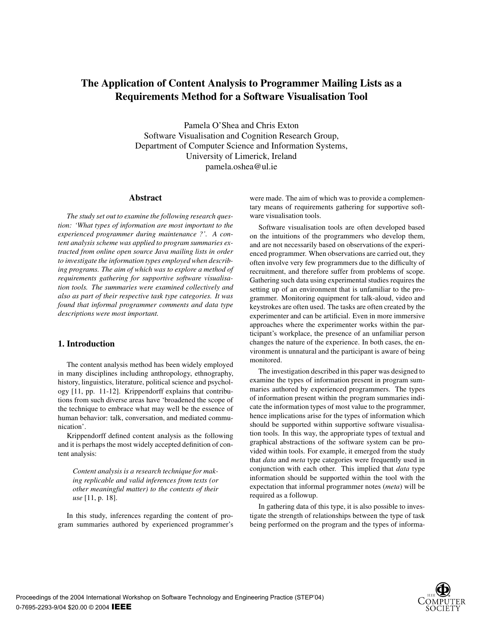# **The Application of Content Analysis to Programmer Mailing Lists as a Requirements Method for a Software Visualisation Tool**

Pamela O'Shea and Chris Exton Software Visualisation and Cognition Research Group, Department of Computer Science and Information Systems, University of Limerick, Ireland pamela.oshea@ul.ie

#### **Abstract**

*The study set out to examine the following research question: 'What types of information are most important to the experienced programmer during maintenance ?'. A content analysis scheme was applied to program summaries extracted from online open source Java mailing lists in order to investigate the information types employed when describing programs. The aim of which was to explore a method of requirements gathering for supportive software visualisation tools. The summaries were examined collectively and also as part of their respective task type categories. It was found that informal programmer comments and data type descriptions were most important.*

## **1. Introduction**

The content analysis method has been widely employed in many disciplines including anthropology, ethnography, history, linguistics, literature, political science and psychology [11, pp. 11-12]. Krippendorff explains that contributions from such diverse areas have 'broadened the scope of the technique to embrace what may well be the essence of human behavior: talk, conversation, and mediated communication'.

Krippendorff defined content analysis as the following and it is perhaps the most widely accepted definition of content analysis:

*Content analysis is a research technique for making replicable and valid inferences from texts (or other meaningful matter) to the contexts of their use* [11, p. 18].

In this study, inferences regarding the content of program summaries authored by experienced programmer's were made. The aim of which was to provide a complementary means of requirements gathering for supportive software visualisation tools.

Software visualisation tools are often developed based on the intuitions of the programmers who develop them, and are not necessarily based on observations of the experienced programmer. When observations are carried out, they often involve very few programmers due to the difficulty of recruitment, and therefore suffer from problems of scope. Gathering such data using experimental studies requires the setting up of an environment that is unfamiliar to the programmer. Monitoring equipment for talk-aloud, video and keystrokes are often used. The tasks are often created by the experimenter and can be artificial. Even in more immersive approaches where the experimenter works within the participant's workplace, the presence of an unfamiliar person changes the nature of the experience. In both cases, the environment is unnatural and the participant is aware of being monitored.

The investigation described in this paper was designed to examine the types of information present in program summaries authored by experienced programmers. The types of information present within the program summaries indicate the information types of most value to the programmer, hence implications arise for the types of information which should be supported within supportive software visualisation tools. In this way, the appropriate types of textual and graphical abstractions of the software system can be provided within tools. For example, it emerged from the study that *data* and *meta* type categories were frequently used in conjunction with each other. This implied that *data* type information should be supported within the tool with the expectation that informal programmer notes (*meta*) will be required as a followup.

In gathering data of this type, it is also possible to investigate the strength of relationships between the type of task being performed on the program and the types of informa-

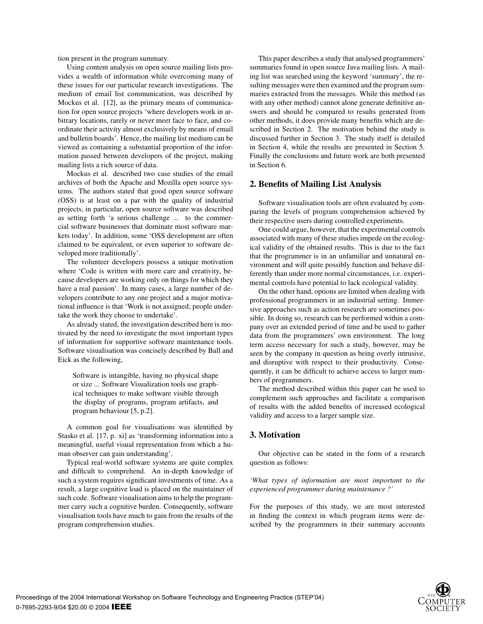tion present in the program summary.

Using content analysis on open source mailing lists provides a wealth of information while overcoming many of these issues for our particular research investigations. The medium of email list communication, was described by Mockus et al. [12], as the primary means of communication for open source projects 'where developers work in arbitrary locations, rarely or never meet face to face, and coordinate their activity almost exclusively by means of email and bulletin boards'. Hence, the mailing list medium can be viewed as containing a substantial proportion of the information passed between developers of the project, making mailing lists a rich source of data.

Mockus et al. described two case studies of the email archives of both the Apache and Mozilla open source systems. The authors stated that good open source software (OSS) is at least on a par with the quality of industrial projects, in particular, open source software was described as setting forth 'a serious challenge ... to the commercial software businesses that dominate most software markets today'. In addition, some 'OSS development are often claimed to be equivalent, or even superior to software developed more traditionally'.

The volunteer developers possess a unique motivation where 'Code is written with more care and creativity, because developers are working only on things for which they have a real passion'. In many cases, a large number of developers contribute to any one project and a major motivational influence is that 'Work is not assigned; people undertake the work they choose to undertake'.

As already stated, the investigation described here is motivated by the need to investigate the most important types of information for supportive software maintenance tools. Software visualisation was concisely described by Ball and Eick as the following,

Software is intangible, having no physical shape or size ... Software Visualization tools use graphical techniques to make software visible through the display of programs, program artifacts, and program behaviour [5, p.2].

A common goal for visualisations was identified by Stasko et al. [17, p. xi] as 'transforming information into a meaningful, useful visual representation from which a human observer can gain understanding'.

Typical real-world software systems are quite complex and difficult to comprehend. An in-depth knowledge of such a system requires significant investments of time. As a result, a large cognitive load is placed on the maintainer of such code. Software visualisation aims to help the programmer carry such a cognitive burden. Consequently, software visualisation tools have much to gain from the results of the program comprehension studies.

This paper describes a study that analysed programmers' summaries found in open source Java mailing lists. A mailing list was searched using the keyword 'summary', the resulting messages were then examined and the program summaries extracted from the messages. While this method (as with any other method) cannot alone generate definitive answers and should be compared to results generated from other methods, it does provide many benefits which are described in Section 2. The motivation behind the study is discussed further in Section 3. The study itself is detailed in Section 4, while the results are presented in Section 5. Finally the conclusions and future work are both presented in Section 6.

### **2. Benefits of Mailing List Analysis**

Software visualisation tools are often evaluated by comparing the levels of program comprehension achieved by their respective users during controlled experiments.

One could argue, however, that the experimental controls associated with many of these studies impede on the ecological validity of the obtained results. This is due to the fact that the programmer is in an unfamiliar and unnatural environment and will quite possibly function and behave differently than under more normal circumstances, i.e. experimental controls have potential to lack ecological validity.

On the other hand, options are limited when dealing with professional programmers in an industrial setting. Immersive approaches such as action research are sometimes possible. In doing so, research can be performed within a company over an extended period of time and be used to gather data from the programmers' own environment. The long term access necessary for such a study, however, may be seen by the company in question as being overly intrusive, and disruptive with respect to their productivity. Consequently, it can be difficult to achieve access to larger numbers of programmers.

The method described within this paper can be used to complement such approaches and facilitate a comparison of results with the added benefits of increased ecological validity and access to a larger sample size.

### **3. Motivation**

Our objective can be stated in the form of a research question as follows:

*'What types of information are most important to the experienced programmer during maintenance ?'*

For the purposes of this study, we are most interested in finding the context in which program items were described by the programmers in their summary accounts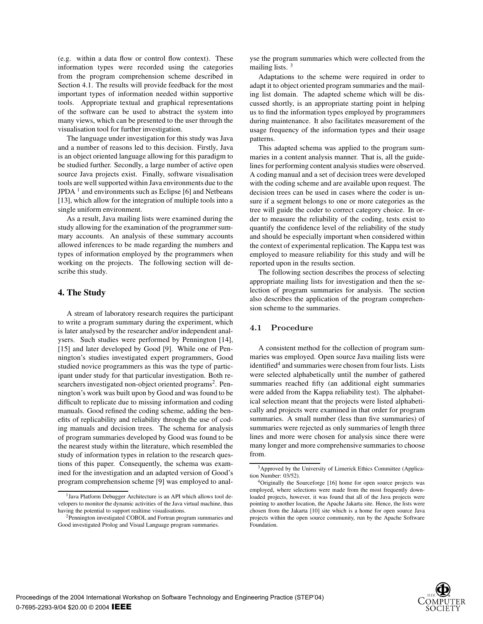(e.g. within a data flow or control flow context). These information types were recorded using the categories from the program comprehension scheme described in Section 4.1. The results will provide feedback for the most important types of information needed within supportive tools. Appropriate textual and graphical representations of the software can be used to abstract the system into many views, which can be presented to the user through the visualisation tool for further investigation.

The language under investigation for this study was Java and a number of reasons led to this decision. Firstly, Java is an object oriented language allowing for this paradigm to be studied further. Secondly, a large number of active open source Java projects exist. Finally, software visualisation tools are well supported within Java environments due to the JPDA  $<sup>1</sup>$  and environments such as Eclipse [6] and Netbeans</sup> [13], which allow for the integration of multiple tools into a single uniform environment.

As a result, Java mailing lists were examined during the study allowing for the examination of the programmer summary accounts. An analysis of these summary accounts allowed inferences to be made regarding the numbers and types of information employed by the programmers when working on the projects. The following section will describe this study.

### **4. The Study**

A stream of laboratory research requires the participant to write a program summary during the experiment, which is later analysed by the researcher and/or independent analysers. Such studies were performed by Pennington [14], [15] and later developed by Good [9]. While one of Pennington's studies investigated expert programmers, Good studied novice programmers as this was the type of participant under study for that particular investigation. Both researchers investigated non-object oriented programs<sup>2</sup>. Pennington's work was built upon by Good and was found to be difficult to replicate due to missing information and coding manuals. Good refined the coding scheme, adding the benefits of replicability and reliability through the use of coding manuals and decision trees. The schema for analysis of program summaries developed by Good was found to be the nearest study within the literature, which resembled the study of information types in relation to the research questions of this paper. Consequently, the schema was examined for the investigation and an adapted version of Good's program comprehension scheme [9] was employed to analyse the program summaries which were collected from the mailing lists.  $3$ 

Adaptations to the scheme were required in order to adapt it to object oriented program summaries and the mailing list domain. The adapted scheme which will be discussed shortly, is an appropriate starting point in helping us to find the information types employed by programmers during maintenance. It also facilitates measurement of the usage frequency of the information types and their usage patterns.

This adapted schema was applied to the program summaries in a content analysis manner. That is, all the guidelines for performing content analysis studies were observed. A coding manual and a set of decision trees were developed with the coding scheme and are available upon request. The decision trees can be used in cases where the coder is unsure if a segment belongs to one or more categories as the tree will guide the coder to correct category choice. In order to measure the reliability of the coding, tests exist to quantify the confidence level of the reliability of the study and should be especially important when considered within the context of experimental replication. The Kappa test was employed to measure reliability for this study and will be reported upon in the results section.

The following section describes the process of selecting appropriate mailing lists for investigation and then the selection of program summaries for analysis. The section also describes the application of the program comprehension scheme to the summaries.

# **4.1 Procedure**

A consistent method for the collection of program summaries was employed. Open source Java mailing lists were identified<sup>4</sup> and summaries were chosen from four lists. Lists were selected alphabetically until the number of gathered summaries reached fifty (an additional eight summaries were added from the Kappa reliability test). The alphabetical selection meant that the projects were listed alphabetically and projects were examined in that order for program summaries. A small number (less than five summaries) of summaries were rejected as only summaries of length three lines and more were chosen for analysis since there were many longer and more comprehensive summaries to choose from.



<sup>&</sup>lt;sup>1</sup> Java Platform Debugger Architecture is an API which allows tool developers to monitor the dynamic activities of the Java virtual machine, thus having the potential to support realtime visualisations.

<sup>2</sup>Pennington investigated COBOL and Fortran program summaries and Good investigated Prolog and Visual Language program summaries.

<sup>&</sup>lt;sup>3</sup>Approved by the University of Limerick Ethics Committee (Application Number: 03/52).

<sup>4</sup>Originally the Sourceforge [16] home for open source projects was employed, where selections were made from the most frequently downloaded projects, however, it was found that all of the Java projects were pointing to another location, the Apache Jakarta site. Hence, the lists were chosen from the Jakarta [10] site which is a home for open source Java projects within the open source community, run by the Apache Software Foundation.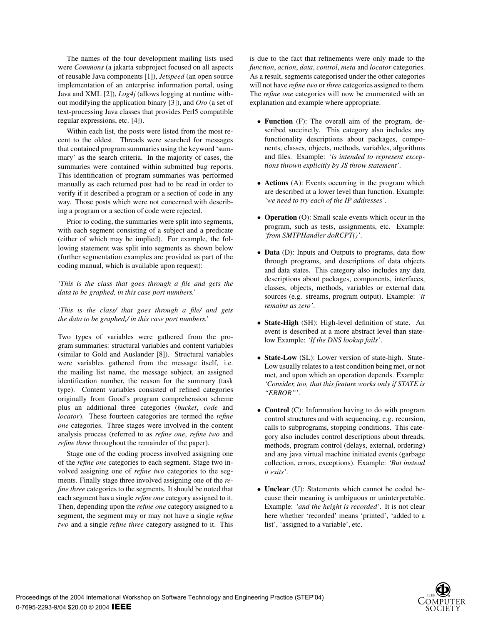The names of the four development mailing lists used were *Commons* (a jakarta subproject focused on all aspects of reusable Java components [1]), *Jetspeed* (an open source implementation of an enterprise information portal, using Java and XML [2]), *Log4j* (allows logging at runtime without modifying the application binary [3]), and *Oro* (a set of text-processing Java classes that provides Perl5 compatible regular expressions, etc. [4]).

Within each list, the posts were listed from the most recent to the oldest. Threads were searched for messages that contained program summaries using the keyword 'summary' as the search criteria. In the majority of cases, the summaries were contained within submitted bug reports. This identification of program summaries was performed manually as each returned post had to be read in order to verify if it described a program or a section of code in any way. Those posts which were not concerned with describing a program or a section of code were rejected.

Prior to coding, the summaries were split into segments, with each segment consisting of a subject and a predicate (either of which may be implied). For example, the following statement was split into segments as shown below (further segmentation examples are provided as part of the coding manual, which is available upon request):

*'This is the class that goes through a file and gets the data to be graphed, in this case port numbers.'*

*'This is the class/ that goes through a file/ and gets the data to be graphed,/ in this case port numbers.'*

Two types of variables were gathered from the program summaries: structural variables and content variables (similar to Gold and Auslander [8]). Structural variables were variables gathered from the message itself, i.e. the mailing list name, the message subject, an assigned identification number, the reason for the summary (task type). Content variables consisted of refined categories originally from Good's program comprehension scheme plus an additional three categories (*bucket*, *code* and *locator*). These fourteen categories are termed the *refine one* categories. Three stages were involved in the content analysis process (referred to as *refine one*, *refine two* and *refine three* throughout the remainder of the paper).

Stage one of the coding process involved assigning one of the *refine one* categories to each segment. Stage two involved assigning one of *refine two* categories to the segments. Finally stage three involved assigning one of the *refine three* categories to the segments. It should be noted that each segment has a single *refine one* category assigned to it. Then, depending upon the *refine one* category assigned to a segment, the segment may or may not have a single *refine two* and a single *refine three* category assigned to it. This

is due to the fact that refinements were only made to the *function*, *action*, *data*, *control*, *meta* and *locator* categories. As a result, segments categorised under the other categories will not have *refine two* or *three* categories assigned to them. The *refine one* categories will now be enumerated with an explanation and example where appropriate.

- **Function** (F): The overall aim of the program, described succinctly. This category also includes any functionality descriptions about packages, components, classes, objects, methods, variables, algorithms and files. Example: *'is intended to represent exceptions thrown explicitly by JS throw statement'*.
- **Actions** (A): Events occurring in the program which are described at a lower level than function. Example: *'we need to try each of the IP addresses'*.
- **Operation** (O): Small scale events which occur in the program, such as tests, assignments, etc. Example: *'from SMTPHandler doRCPT()'*.
- **Data** (D): Inputs and Outputs to programs, data flow through programs, and descriptions of data objects and data states. This category also includes any data descriptions about packages, components, interfaces, classes, objects, methods, variables or external data sources (e.g. streams, program output). Example: *'it remains as zero'*.
- **State-High** (SH): High-level definition of state. An event is described at a more abstract level than statelow Example: *'If the DNS lookup fails'*.
- **State-Low** (SL): Lower version of state-high. State-Low usually relates to a test condition being met, or not met, and upon which an operation depends. Example: *'Consider, too, that this feature works only if STATE is "ERROR"'*.
- **Control** (C): Information having to do with program control structures and with sequencing, e.g. recursion, calls to subprograms, stopping conditions. This category also includes control descriptions about threads, methods, program control (delays, external, ordering) and any java virtual machine initiated events (garbage collection, errors, exceptions). Example: *'But instead it exits'*.
- **Unclear** (U): Statements which cannot be coded because their meaning is ambiguous or uninterpretable. Example: *'and the height is recorded'*. It is not clear here whether 'recorded' means 'printed', 'added to a list', 'assigned to a variable', etc.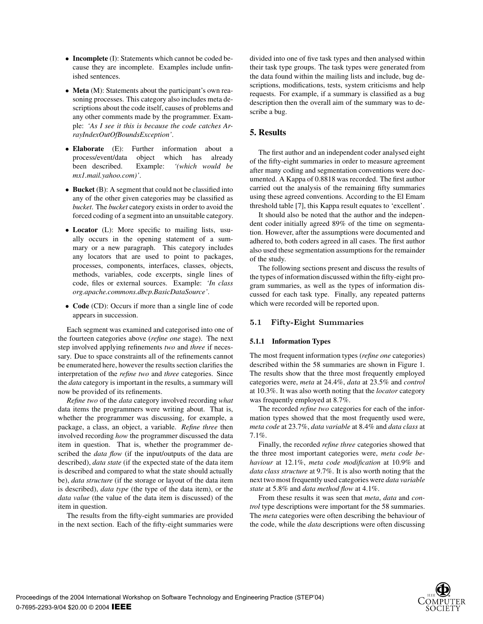- **Incomplete** (I): Statements which cannot be coded because they are incomplete. Examples include unfinished sentences.
- **Meta** (M): Statements about the participant's own reasoning processes. This category also includes meta descriptions about the code itself, causes of problems and any other comments made by the programmer. Example: *'As I see it this is because the code catches ArrayIndexOutOfBoundsException'*.
- **Elaborate** (E): Further information about a process/event/data object been described. Example: *'(which would be mx1.mail.yahoo.com)'*.
- **Bucket** (B): A segment that could not be classified into any of the other given categories may be classified as *bucket*. The *bucket* category exists in order to avoid the forced coding of a segment into an unsuitable category.
- **Locator** (L): More specific to mailing lists, usually occurs in the opening statement of a summary or a new paragraph. This category includes any locators that are used to point to packages, processes, components, interfaces, classes, objects, methods, variables, code excerpts, single lines of code, files or external sources. Example: *'In class org.apache.commons.dbcp.BasicDataSource'*.
- **Code** (CD): Occurs if more than a single line of code appears in succession.

Each segment was examined and categorised into one of the fourteen categories above (*refine one* stage). The next step involved applying refinements *two* and *three* if necessary. Due to space constraints all of the refinements cannot be enumerated here, however the results section clarifies the interpretation of the *refine two* and *three* categories. Since the *data* category is important in the results, a summary will now be provided of its refinements.

*Refine two* of the *data* category involved recording *what* data items the programmers were writing about. That is, whether the programmer was discussing, for example, a package, a class, an object, a variable. *Refine three* then involved recording *how* the programmer discussed the data item in question. That is, whether the programmer described the *data flow* (if the input/outputs of the data are described), *data state* (if the expected state of the data item is described and compared to what the state should actually be), *data structure* (if the storage or layout of the data item is described), *data type* (the type of the data item), or the *data value* (the value of the data item is discussed) of the item in question.

The results from the fifty-eight summaries are provided in the next section. Each of the fifty-eight summaries were

divided into one of five task types and then analysed within their task type groups. The task types were generated from the data found within the mailing lists and include, bug descriptions, modifications, tests, system criticisms and help requests. For example, if a summary is classified as a bug description then the overall aim of the summary was to describe a bug.

### **5. Results**

The first author and an independent coder analysed eight of the fifty-eight summaries in order to measure agreement after many coding and segmentation conventions were documented. A Kappa of 0.8818 was recorded. The first author carried out the analysis of the remaining fifty summaries using these agreed conventions. According to the El Emam threshold table [7], this Kappa result equates to 'excellent'.

It should also be noted that the author and the independent coder initially agreed 89% of the time on segmentation. However, after the assumptions were documented and adhered to, both coders agreed in all cases. The first author also used these segmentation assumptions for the remainder of the study.

The following sections present and discuss the results of the types of information discussed within the fifty-eight program summaries, as well as the types of information discussed for each task type. Finally, any repeated patterns which were recorded will be reported upon.

### **5.1 Fifty-Eight Summaries**

#### **5.1.1 Information Types**

The most frequent information types (*refine one* categories) described within the 58 summaries are shown in Figure 1. The results show that the three most frequently employed categories were, *meta* at 24.4%, *data* at 23.5% and *control* at 10.3%. It was also worth noting that the *locator* category was frequently employed at 8.7%.

The recorded *refine two* categories for each of the information types showed that the most frequently used were, *meta code* at 23.7%, *data variable* at 8.4% and *data class* at 7.1%.

Finally, the recorded *refine three* categories showed that the three most important categories were, *meta code behaviour* at 12.1%, *meta code modification* at 10.9% and *data class structure* at 9.7%. It is also worth noting that the next two most frequently used categories were *data variable state* at 5.8% and *data method flow* at 4.1%.

From these results it was seen that *meta*, *data* and *control* type descriptions were important for the 58 summaries. The *meta* categories were often describing the behaviour of the code, while the *data* descriptions were often discussing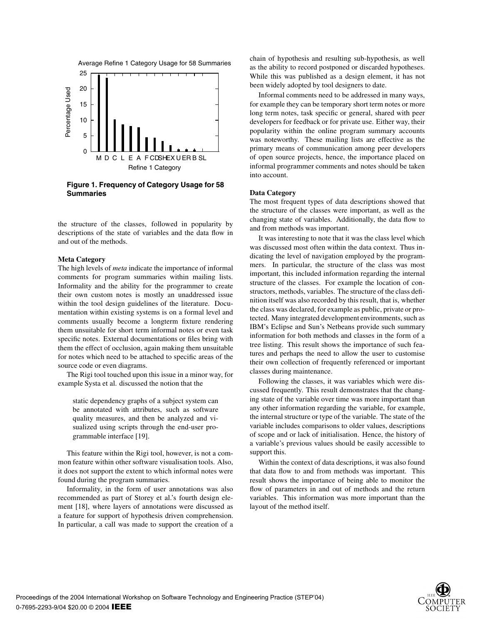



**Figure 1. Frequency of Category Usage for 58 Summaries**

the structure of the classes, followed in popularity by descriptions of the state of variables and the data flow in and out of the methods.

#### **Meta Category**

The high levels of *meta* indicate the importance of informal comments for program summaries within mailing lists. Informality and the ability for the programmer to create their own custom notes is mostly an unaddressed issue within the tool design guidelines of the literature. Documentation within existing systems is on a formal level and comments usually become a longterm fixture rendering them unsuitable for short term informal notes or even task specific notes. External documentations or files bring with them the effect of occlusion, again making them unsuitable for notes which need to be attached to specific areas of the source code or even diagrams.

The Rigi tool touched upon this issue in a minor way, for example Systa et al. discussed the notion that the

static dependency graphs of a subject system can be annotated with attributes, such as software quality measures, and then be analyzed and visualized using scripts through the end-user programmable interface [19].

This feature within the Rigi tool, however, is not a common feature within other software visualisation tools. Also, it does not support the extent to which informal notes were found during the program summaries.

Informality, in the form of user annotations was also recommended as part of Storey et al.'s fourth design element [18], where layers of annotations were discussed as a feature for support of hypothesis driven comprehension. In particular, a call was made to support the creation of a chain of hypothesis and resulting sub-hypothesis, as well as the ability to record postponed or discarded hypotheses. While this was published as a design element, it has not been widely adopted by tool designers to date.

Informal comments need to be addressed in many ways, for example they can be temporary short term notes or more long term notes, task specific or general, shared with peer developers for feedback or for private use. Either way, their popularity within the online program summary accounts was noteworthy. These mailing lists are effective as the primary means of communication among peer developers of open source projects, hence, the importance placed on informal programmer comments and notes should be taken into account.

#### **Data Category**

The most frequent types of data descriptions showed that the structure of the classes were important, as well as the changing state of variables. Additionally, the data flow to and from methods was important.

It was interesting to note that it was the class level which was discussed most often within the data context. Thus indicating the level of navigation employed by the programmers. In particular, the structure of the class was most important, this included information regarding the internal structure of the classes. For example the location of constructors, methods, variables. The structure of the class definition itself was also recorded by this result, that is, whether the class was declared, for example as public, private or protected. Many integrated development environments, such as IBM's Eclipse and Sun's Netbeans provide such summary information for both methods and classes in the form of a tree listing. This result shows the importance of such features and perhaps the need to allow the user to customise their own collection of frequently referenced or important classes during maintenance.

Following the classes, it was variables which were discussed frequently. This result demonstrates that the changing state of the variable over time was more important than any other information regarding the variable, for example, the internal structure or type of the variable. The state of the variable includes comparisons to older values, descriptions of scope and or lack of initialisation. Hence, the history of a variable's previous values should be easily accessible to support this.

Within the context of data descriptions, it was also found that data flow to and from methods was important. This result shows the importance of being able to monitor the flow of parameters in and out of methods and the return variables. This information was more important than the layout of the method itself.

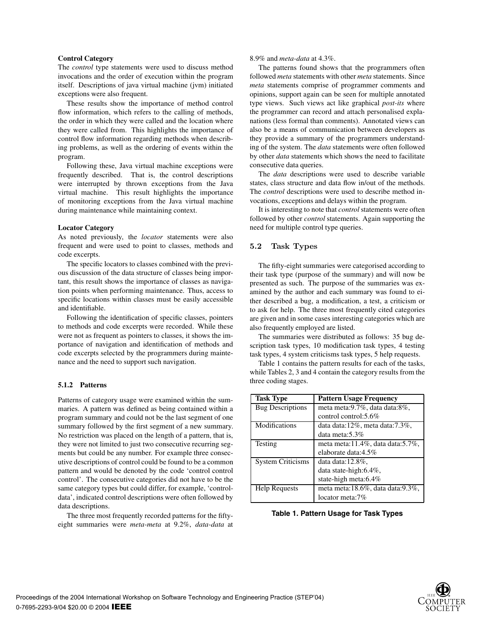#### **Control Category**

The *control* type statements were used to discuss method invocations and the order of execution within the program itself. Descriptions of java virtual machine (jvm) initiated exceptions were also frequent.

These results show the importance of method control flow information, which refers to the calling of methods, the order in which they were called and the location where they were called from. This highlights the importance of control flow information regarding methods when describing problems, as well as the ordering of events within the program.

Following these, Java virtual machine exceptions were frequently described. That is, the control descriptions were interrupted by thrown exceptions from the Java virtual machine. This result highlights the importance of monitoring exceptions from the Java virtual machine during maintenance while maintaining context.

#### **Locator Category**

As noted previously, the *locator* statements were also frequent and were used to point to classes, methods and code excerpts.

The specific locators to classes combined with the previous discussion of the data structure of classes being important, this result shows the importance of classes as navigation points when performing maintenance. Thus, access to specific locations within classes must be easily accessible and identifiable.

Following the identification of specific classes, pointers to methods and code excerpts were recorded. While these were not as frequent as pointers to classes, it shows the importance of navigation and identification of methods and code excerpts selected by the programmers during maintenance and the need to support such navigation.

#### **5.1.2 Patterns**

Patterns of category usage were examined within the summaries. A pattern was defined as being contained within a program summary and could not be the last segment of one summary followed by the first segment of a new summary. No restriction was placed on the length of a pattern, that is, they were not limited to just two consecutive recurring segments but could be any number. For example three consecutive descriptions of control could be found to be a common pattern and would be denoted by the code 'control control control'. The consecutive categories did not have to be the same category types but could differ, for example, 'controldata', indicated control descriptions were often followed by data descriptions.

The three most frequently recorded patterns for the fiftyeight summaries were *meta-meta* at 9.2%, *data-data* at

#### 8.9% and *meta-data* at 4.3%.

The patterns found shows that the programmers often followed *meta* statements with other *meta* statements. Since *meta* statements comprise of programmer comments and opinions, support again can be seen for multiple annotated type views. Such views act like graphical *post-its* where the programmer can record and attach personalised explanations (less formal than comments). Annotated views can also be a means of communication between developers as they provide a summary of the programmers understanding of the system. The *data* statements were often followed by other *data* statements which shows the need to facilitate consecutive data queries.

The *data* descriptions were used to describe variable states, class structure and data flow in/out of the methods. The *control* descriptions were used to describe method invocations, exceptions and delays within the program.

It is interesting to note that *control* statements were often followed by other *control* statements. Again supporting the need for multiple control type queries.

# **5.2 Task Types**

The fifty-eight summaries were categorised according to their task type (purpose of the summary) and will now be presented as such. The purpose of the summaries was examined by the author and each summary was found to either described a bug, a modification, a test, a criticism or to ask for help. The three most frequently cited categories are given and in some cases interesting categories which are also frequently employed are listed.

The summaries were distributed as follows: 35 bug description task types, 10 modification task types, 4 testing task types, 4 system criticisms task types, 5 help requests.

Table 1 contains the pattern results for each of the tasks, while Tables 2, 3 and 4 contain the category results from the three coding stages.

| <b>Task Type</b>         | <b>Pattern Usage Frequency</b>   |
|--------------------------|----------------------------------|
| <b>Bug Descriptions</b>  | meta meta:9.7%, data data:8%,    |
|                          | control control: $5.6\%$         |
| Modifications            | data data:12%, meta data:7.3%,   |
|                          | data meta: $5.3\%$               |
| Testing                  | meta meta:11.4%, data data:5.7%, |
|                          | elaborate data:4.5%              |
| <b>System Criticisms</b> | data data: $12.8\%$ .            |
|                          | data state-high:6.4%,            |
|                          | state-high meta:6.4%             |
| <b>Help Requests</b>     | meta meta:18.6%, data data:9.3%, |
|                          | locator meta:7%                  |

**Table 1. Pattern Usage for Task Types**

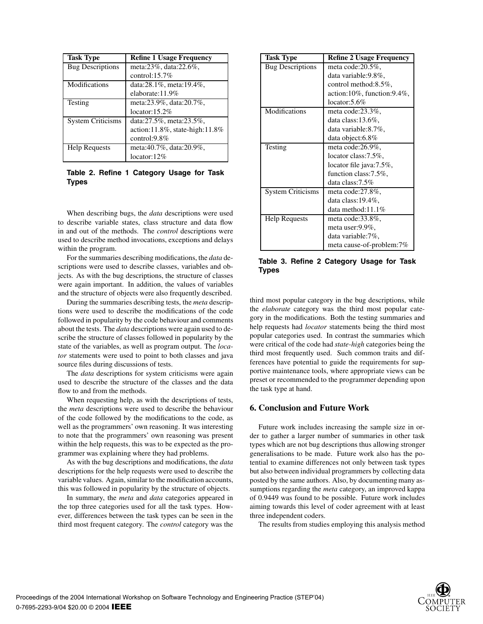| <b>Task Type</b>         | <b>Refine 1 Usage Frequency</b> |
|--------------------------|---------------------------------|
| <b>Bug Descriptions</b>  | meta:23%, data:22.6%,           |
|                          | control: $15.7\%$               |
| <b>Modifications</b>     | data:28.1%, meta:19.4%,         |
|                          | elaborate: $11.9\%$             |
| Testing                  | meta:23.9%, data:20.7%,         |
|                          | locator: $15.2\%$               |
| <b>System Criticisms</b> | data:27.5%, meta:23.5%,         |
|                          | action:11.8%, state-high:11.8%  |
|                          | control: $9.8\%$                |
| <b>Help Requests</b>     | meta:40.7%, data:20.9%,         |
|                          | locator:12%                     |

**Table 2. Refine 1 Category Usage for Task Types**

When describing bugs, the *data* descriptions were used to describe variable states, class structure and data flow in and out of the methods. The *control* descriptions were used to describe method invocations, exceptions and delays within the program.

For the summaries describing modifications, the *data* descriptions were used to describe classes, variables and objects. As with the bug descriptions, the structure of classes were again important. In addition, the values of variables and the structure of objects were also frequently described.

During the summaries describing tests, the *meta* descriptions were used to describe the modifications of the code followed in popularity by the code behaviour and comments about the tests. The *data* descriptions were again used to describe the structure of classes followed in popularity by the state of the variables, as well as program output. The *locator* statements were used to point to both classes and java source files during discussions of tests.

The *data* descriptions for system criticisms were again used to describe the structure of the classes and the data flow to and from the methods.

When requesting help, as with the descriptions of tests, the *meta* descriptions were used to describe the behaviour of the code followed by the modifications to the code, as well as the programmers' own reasoning. It was interesting to note that the programmers' own reasoning was present within the help requests, this was to be expected as the programmer was explaining where they had problems.

As with the bug descriptions and modifications, the *data* descriptions for the help requests were used to describe the variable values. Again, similar to the modification accounts, this was followed in popularity by the structure of objects.

In summary, the *meta* and *data* categories appeared in the top three categories used for all the task types. However, differences between the task types can be seen in the third most frequent category. The *control* category was the

| <b>Task Type</b>         | <b>Refine 2 Usage Frequency</b> |
|--------------------------|---------------------------------|
| <b>Bug Descriptions</b>  | meta code:20.5%,                |
|                          | data variable:9.8%,             |
|                          | control method:8.5%,            |
|                          | action:10%, function:9.4%,      |
|                          | locator:5.6%                    |
| Modifications            | meta code: $23.3\%$ ,           |
|                          | data class: $13.6\%$ .          |
|                          | data variable:8.7%,             |
|                          | data object:6.8%                |
| Testing                  | meta code:26.9%,                |
|                          | locator class:7.5%,             |
|                          | locator file java:7.5%,         |
|                          | function class:7.5%,            |
|                          | data class: $7.5\%$             |
| <b>System Criticisms</b> | meta code:27.8%,                |
|                          | data class:19.4%,               |
|                          | data method:11.1%               |
| <b>Help Requests</b>     | meta code:33.8%,                |
|                          | meta user:9.9%,                 |
|                          | data variable:7%,               |
|                          | meta cause-of-problem:7%        |

**Table 3. Refine 2 Category Usage for Task Types**

third most popular category in the bug descriptions, while the *elaborate* category was the third most popular category in the modifications. Both the testing summaries and help requests had *locator* statements being the third most popular categories used. In contrast the summaries which were critical of the code had *state-high* categories being the third most frequently used. Such common traits and differences have potential to guide the requirements for supportive maintenance tools, where appropriate views can be preset or recommended to the programmer depending upon the task type at hand.

### **6. Conclusion and Future Work**

Future work includes increasing the sample size in order to gather a larger number of summaries in other task types which are not bug descriptions thus allowing stronger generalisations to be made. Future work also has the potential to examine differences not only between task types but also between individual programmers by collecting data posted by the same authors. Also, by documenting many assumptions regarding the *meta* category, an improved kappa of 0.9449 was found to be possible. Future work includes aiming towards this level of coder agreement with at least three independent coders.

The results from studies employing this analysis method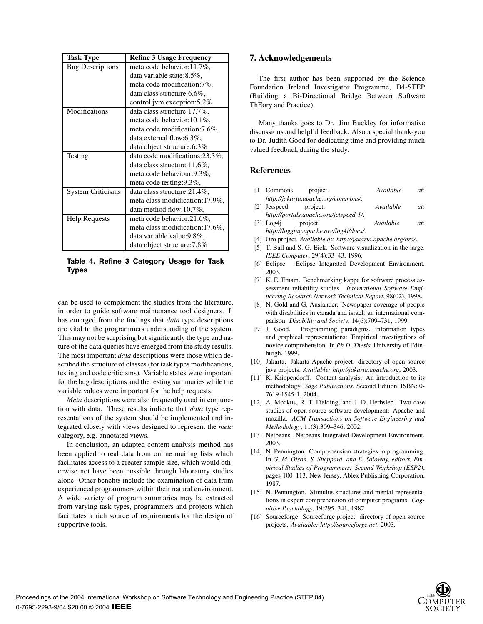| <b>Task Type</b>         | <b>Refine 3 Usage Frequency</b> |
|--------------------------|---------------------------------|
| <b>Bug Descriptions</b>  | meta code behavior: 11.7%,      |
|                          | data variable state: $8.5\%$ ,  |
|                          | meta code modification:7%,      |
|                          | data class structure: 6.6%,     |
|                          | control jvm exception:5.2%      |
| Modifications            | data class structure: 17.7%,    |
|                          | meta code behavior:10.1%,       |
|                          | meta code modification:7.6%,    |
|                          | data external flow: $6.3\%$ .   |
|                          | data object structure:6.3%      |
| Testing                  | data code modifications:23.3%,  |
|                          | data class structure:11.6%,     |
|                          | meta code behaviour:9.3%,       |
|                          | meta code testing: 9.3%,        |
| <b>System Criticisms</b> | data class structure: 21.4%,    |
|                          | meta class modidication: 17.9%, |
|                          | data method flow:10.7%,         |
| <b>Help Requests</b>     | meta code behavior:21.6%,       |
|                          | meta class modidication: 17.6%, |
|                          | data variable value: 9.8%,      |
|                          | data object structure:7.8%      |

**Table 4. Refine 3 Category Usage for Task Types**

can be used to complement the studies from the literature, in order to guide software maintenance tool designers. It has emerged from the findings that *data* type descriptions are vital to the programmers understanding of the system. This may not be surprising but significantly the type and nature of the data queries have emerged from the study results. The most important *data* descriptions were those which described the structure of classes (for task types modifications, testing and code criticisms). Variable states were important for the bug descriptions and the testing summaries while the variable values were important for the help requests.

*Meta* descriptions were also frequently used in conjunction with data. These results indicate that *data* type representations of the system should be implemented and integrated closely with views designed to represent the *meta* category, e.g. annotated views.

In conclusion, an adapted content analysis method has been applied to real data from online mailing lists which facilitates access to a greater sample size, which would otherwise not have been possible through laboratory studies alone. Other benefits include the examination of data from experienced programmers within their natural environment. A wide variety of program summaries may be extracted from varying task types, programmers and projects which facilitates a rich source of requirements for the design of supportive tools.

# **7. Acknowledgements**

The first author has been supported by the Science Foundation Ireland Investigator Programme, B4-STEP (Building a Bi-Directional Bridge Between Software ThEory and Practice).

Many thanks goes to Dr. Jim Buckley for informative discussions and helpful feedback. Also a special thank-you to Dr. Judith Good for dedicating time and providing much valued feedback during the study.

# **References**

- [1] Commons project. *Available at: http://jakarta.apache.org/commons/*.
- [2] Jetspeed project. *Available at: http://portals.apache.org/jetspeed-1/*.
- [3] Log4j project. *Available at: http://logging.apache.org/log4j/docs/*.
- [4] Oro project. *Available at: http://jakarta.apache.org/oro/*.
- [5] T. Ball and S. G. Eick. Software visualization in the large. *IEEE Computer*, 29(4):33–43, 1996.
- [6] Eclipse. Eclipse Integrated Development Environment. 2003.
- [7] K. E. Emam. Benchmarking kappa for software process assessment reliability studies. *International Software Engineering Research Network Technical Report*, 98(02), 1998.
- [8] N. Gold and G. Auslander. Newspaper coverage of people with disabilities in canada and israel: an international comparison. *Disability and Society*, 14(6):709–731, 1999.
- [9] J. Good. Programming paradigms, information types and graphical representations: Empirical investigations of novice comprehension. In *Ph.D. Thesis*. University of Edinburgh, 1999.
- [10] Jakarta. Jakarta Apache project: directory of open source java projects. *Available: http://jakarta.apache.org*, 2003.
- [11] K. Krippendorff. Content analysis: An introduction to its methodology. *Sage Publications*, Second Edition, ISBN: 0- 7619-1545-1, 2004.
- [12] A. Mockus, R. T. Fielding, and J. D. Herbsleb. Two case studies of open source software development: Apache and mozilla. *ACM Transactions on Software Engineering and Methodology*, 11(3):309–346, 2002.
- [13] Netbeans. Netbeans Integrated Development Environment. 2003.
- [14] N. Pennington. Comprehension strategies in programming. In *G. M. Olson, S. Sheppard, and E. Soloway, editors, Empirical Studies of Programmers: Second Workshop (ESP2)*, pages 100–113. New Jersey. Ablex Publishing Corporation, 1987.
- [15] N. Pennington. Stimulus structures and mental representations in expert comprehension of computer programs. *Cognitive Psychology*, 19:295–341, 1987.
- [16] Sourceforge. Sourceforge project: directory of open source projects. *Available: http://sourceforge.net*, 2003.